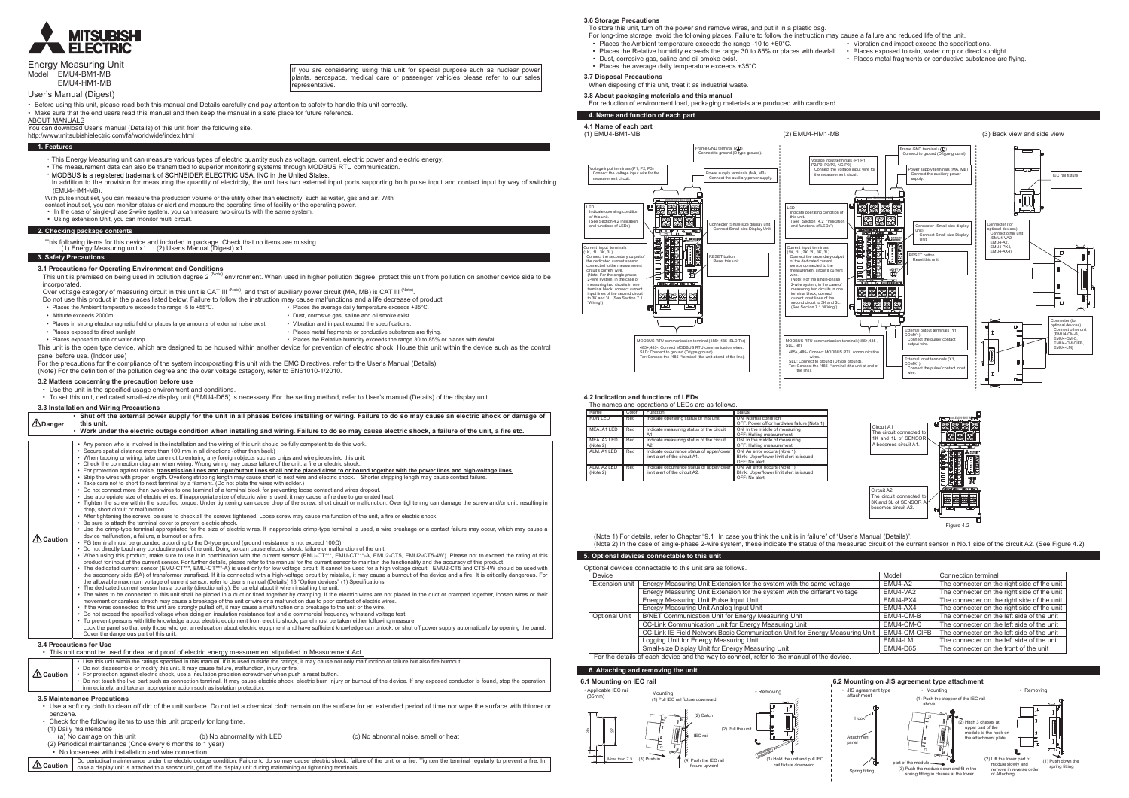

## ame GND terminal ( )<br>€ connect to ground (D type ground). Voltage input terminals (P1/P1, P2/P0, P3/P3, NC/P2) Connect the voltage input wire for  $\mathrm{c}'$  the Power supply terminals (MA, MB) Connect the auxiliary power supply. the measurement circuit. $\overline{\phantom{a}}$ B<del>LEI</del> ÆNDER ENDER ENDER ENDER ENDER ENDER ENDER ENDER ENDER ENDER ENDER ENDER ENDER ENDER ENDER ENDER ENDER EN HOLFI ⊾ EMU4-BM1-MB LEDIndicate operating condition of this unit. (See Section 4.2 "Indication and functions of LEDs") 医医属 Connecter (Small-size display unit) Connect Small-size Display Unit. <del>▝▛▕▞▕▘▞</del> Current input terminals (1K, 1L, 2K, 2L, 3K, 3L) RESET button Reset this unit. Connect the secondary output of the dedicated current sensor connected to the to the second state of the second state of the second state of the second state of the second state of the second state of the second state of the second state of the second state of the second state of the second state of measurement circuit's current<br>wire.<br>(Note) For the single-phase<br>2-wire system, in the case of<br>measuring two circuits in one 35 | 485 | 510 | 197 | **BBB** terminal block, connect current input lines of the الگا' second circuit to 3K and 3L. (See Section 7.1 "Wiring") 7世1 MODBUS RTU communication terminal (485+,485-,SLD,Ter) 485+,485-: Connect MODBUS RTU communication wires. MODBUS RTU communication terminal (485+,485-, SLD,Ter)

**3.6 Storage Precautions**

| Model EMU4-BM1-MB                      | Energy Measuring Unit<br>EMU4-HM1-MB                                                                                                                                                                                                                                                                                                                                                                                                                                                                                                                                                                                                                                                                                                                                                                                                                                                                                                                                                                                                                                                                                                                                                                                                                                                                                                                                                                                                                                                                                                                                                            | If you are considering using this unit for special purpose such as nuclear power<br>plants, aerospace, medical care or passenger vehicles please refer to our sales<br>representative.                                                                                                                                                                                                                                                                                                                                                                                                                                                                                                                                                                                                                                                                                                                                                                                                                                                                                                                                                                                                                                                                                                                                                                                                                                                                                                                                                             | • Places the average daily temperature exceeds +3<br>3.7 Disposal Precautions<br>When disposing of this unit, treat it as industrial wasted                                                                                                                                                                                                                                                                                                                                                                                                                                                                                                                                                                                                                                                                                                                                                                                                                                                                                                                                                                                    |
|----------------------------------------|-------------------------------------------------------------------------------------------------------------------------------------------------------------------------------------------------------------------------------------------------------------------------------------------------------------------------------------------------------------------------------------------------------------------------------------------------------------------------------------------------------------------------------------------------------------------------------------------------------------------------------------------------------------------------------------------------------------------------------------------------------------------------------------------------------------------------------------------------------------------------------------------------------------------------------------------------------------------------------------------------------------------------------------------------------------------------------------------------------------------------------------------------------------------------------------------------------------------------------------------------------------------------------------------------------------------------------------------------------------------------------------------------------------------------------------------------------------------------------------------------------------------------------------------------------------------------------------------------|----------------------------------------------------------------------------------------------------------------------------------------------------------------------------------------------------------------------------------------------------------------------------------------------------------------------------------------------------------------------------------------------------------------------------------------------------------------------------------------------------------------------------------------------------------------------------------------------------------------------------------------------------------------------------------------------------------------------------------------------------------------------------------------------------------------------------------------------------------------------------------------------------------------------------------------------------------------------------------------------------------------------------------------------------------------------------------------------------------------------------------------------------------------------------------------------------------------------------------------------------------------------------------------------------------------------------------------------------------------------------------------------------------------------------------------------------------------------------------------------------------------------------------------------------|--------------------------------------------------------------------------------------------------------------------------------------------------------------------------------------------------------------------------------------------------------------------------------------------------------------------------------------------------------------------------------------------------------------------------------------------------------------------------------------------------------------------------------------------------------------------------------------------------------------------------------------------------------------------------------------------------------------------------------------------------------------------------------------------------------------------------------------------------------------------------------------------------------------------------------------------------------------------------------------------------------------------------------------------------------------------------------------------------------------------------------|
|                                        | User's Manual (Digest)                                                                                                                                                                                                                                                                                                                                                                                                                                                                                                                                                                                                                                                                                                                                                                                                                                                                                                                                                                                                                                                                                                                                                                                                                                                                                                                                                                                                                                                                                                                                                                          |                                                                                                                                                                                                                                                                                                                                                                                                                                                                                                                                                                                                                                                                                                                                                                                                                                                                                                                                                                                                                                                                                                                                                                                                                                                                                                                                                                                                                                                                                                                                                    | 3.8 About packaging materials and this manual                                                                                                                                                                                                                                                                                                                                                                                                                                                                                                                                                                                                                                                                                                                                                                                                                                                                                                                                                                                                                                                                                  |
| <b>ABOUT MANUALS</b>                   | Before using this unit, please read both this manual and Details carefully and pay attention to safety to handle this unit correctly.<br>Make sure that the end users read this manual and then keep the manual in a safe place for future reference.                                                                                                                                                                                                                                                                                                                                                                                                                                                                                                                                                                                                                                                                                                                                                                                                                                                                                                                                                                                                                                                                                                                                                                                                                                                                                                                                           |                                                                                                                                                                                                                                                                                                                                                                                                                                                                                                                                                                                                                                                                                                                                                                                                                                                                                                                                                                                                                                                                                                                                                                                                                                                                                                                                                                                                                                                                                                                                                    | For reduction of environment load, packaging materia<br>4. Name and function of each part                                                                                                                                                                                                                                                                                                                                                                                                                                                                                                                                                                                                                                                                                                                                                                                                                                                                                                                                                                                                                                      |
|                                        | You can download User's manual (Details) of this unit from the following site.<br>http://www.mitsubishielectric.com/fa/worldwide/index.html                                                                                                                                                                                                                                                                                                                                                                                                                                                                                                                                                                                                                                                                                                                                                                                                                                                                                                                                                                                                                                                                                                                                                                                                                                                                                                                                                                                                                                                     |                                                                                                                                                                                                                                                                                                                                                                                                                                                                                                                                                                                                                                                                                                                                                                                                                                                                                                                                                                                                                                                                                                                                                                                                                                                                                                                                                                                                                                                                                                                                                    | 4.1 Name of each part<br>(1) EMU4-BM1-MB                                                                                                                                                                                                                                                                                                                                                                                                                                                                                                                                                                                                                                                                                                                                                                                                                                                                                                                                                                                                                                                                                       |
| 1. Features                            |                                                                                                                                                                                                                                                                                                                                                                                                                                                                                                                                                                                                                                                                                                                                                                                                                                                                                                                                                                                                                                                                                                                                                                                                                                                                                                                                                                                                                                                                                                                                                                                                 |                                                                                                                                                                                                                                                                                                                                                                                                                                                                                                                                                                                                                                                                                                                                                                                                                                                                                                                                                                                                                                                                                                                                                                                                                                                                                                                                                                                                                                                                                                                                                    |                                                                                                                                                                                                                                                                                                                                                                                                                                                                                                                                                                                                                                                                                                                                                                                                                                                                                                                                                                                                                                                                                                                                |
| 3. Safety Precautions<br>incorporated. | • This Energy Measuring unit can measure various types of electric quantity such as voltage, current, electric power and electric energy.<br>• The measurement data can also be transmitted to superior monitoring systems through MODBUS RTU communication.<br>• MODBUS is a registered trademark of SCHNEIDER ELECTRIC USA, INC in the United States.<br>(EMU4-HM1-MB).<br>With pulse input set, you can measure the production volume or the utility other than electricity, such as water, gas and air. With<br>contact input set, you can monitor status or alert and measure the operating time of facility or the operating power.<br>• In the case of single-phase 2-wire system, you can measure two circuits with the same system.<br>• Using extension Unit, you can monitor multi circuit.<br>2. Checking package contents<br>This following items for this device and included in package. Check that no items are missing<br>(1) Energy Measuring unit x1 (2) User's Manual (Digest) x1<br>3.1 Precautions for Operating Environment and Conditions<br>Over voltage category of measuring circuit in this unit is CAT III (Note), and that of auxiliary power circuit (MA, MB) is CAT III (Note).                                                                                                                                                                                                                                                                                                                                                                                 | In addition to the provision for measuring the quantity of electricity, the unit has two external input ports supporting both pulse input and contact input by way of switching<br>This unit is premised on being used in pollution degree 2 <sup>(Note)</sup> environment. When used in higher pollution degree, protect this unit from pollution on another device side to be                                                                                                                                                                                                                                                                                                                                                                                                                                                                                                                                                                                                                                                                                                                                                                                                                                                                                                                                                                                                                                                                                                                                                                    | Frame GND terminal (4)<br>Connect to ground (D type<br>/oltage input terminals (P1, P2, P3)<br>Connect the voltage input wire for the<br>Power supply termina<br>Connect the auxiliar<br>measurement circuit.<br>г<br>医医恶<br>Indicate operating condition<br>of this unit<br>eee<br>(See Section 4.2 Indication<br>Connecter (Small-si<br>and functions of LEDs)<br>Connect Small-si:<br><del>ĹŖ<sub>Ŀ</sub>ĮĸĸĸŖŖĸ</del><br><b>EEEE</b><br>人眼影<br><b>THE</b><br>Current input terminals<br>(1K, 1L, 3K, 3L)<br>RESET button<br>Connect the secondary output of<br>the dedicated current sensor<br>Reset this unit<br>18<br>connected to the measurement<br>to the control of the control of the control of the control of the control of the control of the control of the control of the control of the control of the control of the control of the control of the control of the contr<br>circuit's current wire.<br>2 EBO<br>(Note) For the single-phase<br>2-wire system, in the case of<br>485+1485-15LD 1 Ter<br>measuring two circuits in one<br>terminal block, connect current<br>input lines of the second circuit |
|                                        | Do not use this product in the places listed below. Failure to follow the instruction may cause malfunctions and a life decrease of product.<br>• Places the Ambient temperature exceeds the range -5 to +55°C.<br>· Altitude exceeds 2000m.<br>• Places in strong electromagnetic field or places large amounts of external noise exist.<br>• Places exposed to direct sunlight<br>• Places exposed to rain or water drop.<br>panel before use. (Indoor use)<br>For the precautions for the compliance of the system incorporating this unit with the EMC Directives, refer to the User's Manual (Details).<br>(Note) For the definition of the pollution degree and the over voltage category, refer to EN61010-1/2010.<br>3.2 Matters concerning the precaution before use                                                                                                                                                                                                                                                                                                                                                                                                                                                                                                                                                                                                                                                                                                                                                                                                                   | • Places the average daily temperature exceeds +35°C.<br>• Dust, corrosive gas, saline and oil smoke exist.<br>• Vibration and impact exceed the specifications.<br>• Places metal fragments or conductive substance are flying.<br>• Places the Relative humidity exceeds the range 30 to 85% or places with dewfall.<br>This unit is the open type device, which are designed to be housed within another device for prevention of electric shock. House this unit within the device such as the control                                                                                                                                                                                                                                                                                                                                                                                                                                                                                                                                                                                                                                                                                                                                                                                                                                                                                                                                                                                                                                         | 医医圆盘<br>to 3K and 3L. (See Section 7.1<br>"Wiring")<br>ਇਜ<br><b>IODBUS RTU communication terminal (485+,485-,SLD, Ter</b><br>485+,485-: Connect MODBUS RTU communication wires<br>SLD: Connect to ground (D type ground).<br>Ter: Connect the "485- "terminal (the unit at end of the link)                                                                                                                                                                                                                                                                                                                                                                                                                                                                                                                                                                                                                                                                                                                                                                                                                                    |
|                                        | • Use the unit in the specified usage environment and conditions.<br>• To set this unit, dedicated small-size display unit (EMU4-D65) is necessary. For the setting method, refer to User's manual (Details) of the display unit.<br>3.3 Installation and Wiring Precautions                                                                                                                                                                                                                                                                                                                                                                                                                                                                                                                                                                                                                                                                                                                                                                                                                                                                                                                                                                                                                                                                                                                                                                                                                                                                                                                    |                                                                                                                                                                                                                                                                                                                                                                                                                                                                                                                                                                                                                                                                                                                                                                                                                                                                                                                                                                                                                                                                                                                                                                                                                                                                                                                                                                                                                                                                                                                                                    | 4.2 Indication and functions of LEDs<br>The names and operations of LEDs are as follows.                                                                                                                                                                                                                                                                                                                                                                                                                                                                                                                                                                                                                                                                                                                                                                                                                                                                                                                                                                                                                                       |
|                                        |                                                                                                                                                                                                                                                                                                                                                                                                                                                                                                                                                                                                                                                                                                                                                                                                                                                                                                                                                                                                                                                                                                                                                                                                                                                                                                                                                                                                                                                                                                                                                                                                 | · Shut off the external power supply for the unit in all phases before installing or wiring. Failure to do so may cause an electric shock or damage of                                                                                                                                                                                                                                                                                                                                                                                                                                                                                                                                                                                                                                                                                                                                                                                                                                                                                                                                                                                                                                                                                                                                                                                                                                                                                                                                                                                             | Function<br>Name<br>Color<br>Stat<br>RUN LED<br>Red<br>Indicate operating status of this unit.<br>ON                                                                                                                                                                                                                                                                                                                                                                                                                                                                                                                                                                                                                                                                                                                                                                                                                                                                                                                                                                                                                           |
| <b>ADanger</b>                         | this unit.                                                                                                                                                                                                                                                                                                                                                                                                                                                                                                                                                                                                                                                                                                                                                                                                                                                                                                                                                                                                                                                                                                                                                                                                                                                                                                                                                                                                                                                                                                                                                                                      | • Work under the electric outage condition when installing and wiring. Failure to do so may cause electric shock, a failure of the unit, a fire etc.                                                                                                                                                                                                                                                                                                                                                                                                                                                                                                                                                                                                                                                                                                                                                                                                                                                                                                                                                                                                                                                                                                                                                                                                                                                                                                                                                                                               | OFI<br>MEA. A1 LED<br>Red<br>ON<br>Indicate measuring status of the circuit                                                                                                                                                                                                                                                                                                                                                                                                                                                                                                                                                                                                                                                                                                                                                                                                                                                                                                                                                                                                                                                    |
|                                        |                                                                                                                                                                                                                                                                                                                                                                                                                                                                                                                                                                                                                                                                                                                                                                                                                                                                                                                                                                                                                                                                                                                                                                                                                                                                                                                                                                                                                                                                                                                                                                                                 |                                                                                                                                                                                                                                                                                                                                                                                                                                                                                                                                                                                                                                                                                                                                                                                                                                                                                                                                                                                                                                                                                                                                                                                                                                                                                                                                                                                                                                                                                                                                                    | OFI<br>MEA. A2 LED<br>Red<br>Indicate measuring status of the circuit<br>ON                                                                                                                                                                                                                                                                                                                                                                                                                                                                                                                                                                                                                                                                                                                                                                                                                                                                                                                                                                                                                                                    |
|                                        | • Any person who is involved in the installation and the wiring of this unit should be fully competent to do this work.<br>• Secure spatial distance more than 100 mm in all directions (other than back)<br>• When tapping or wiring, take care not to entering any foreign objects such as chips and wire pieces into this unit.<br>• Check the connection diagram when wiring. Wrong wiring may cause failure of the unit, a fire or electric shock.<br>. Strip the wires with proper length. Overlong stripping length may cause short to next wire and electric shock. Shorter stripping length may cause contact failure.<br>• Take care not to short to next terminal by a filament. (Do not plate the wires with solder.)<br>• Do not connect more than two wires to one terminal of a terminal block for preventing loose contact and wires dropout.                                                                                                                                                                                                                                                                                                                                                                                                                                                                                                                                                                                                                                                                                                                                   | · For protection against noise, transmission lines and input/output lines shall not be placed close to or bound together with the power lines and high-voltage lines.                                                                                                                                                                                                                                                                                                                                                                                                                                                                                                                                                                                                                                                                                                                                                                                                                                                                                                                                                                                                                                                                                                                                                                                                                                                                                                                                                                              | OFI<br>(Note 2)<br>A2.<br>ALM. A1 LED<br>ON<br>Red<br>Indicate occurrence status of upper/lower<br>limit alert of the circuit A1.<br>Blin<br>OFI<br>ALM. A2 LED<br>Red<br>Indicate occurrence status of upper/lower<br>ON<br>(Note 2)<br>limit alert of the circuit A2.<br>Blin<br>OFI                                                                                                                                                                                                                                                                                                                                                                                                                                                                                                                                                                                                                                                                                                                                                                                                                                         |
| △ Caution                              | • Use appropriate size of electric wires. If inappropriate size of electric wire is used, it may cause a fire due to generated heat.<br>drop, short circuit or malfunction.<br>• After tightening the screws, be sure to check all the screws tightened. Loose screw may cause malfunction of the unit, a fire or electric shock.<br>• Be sure to attach the terminal cover to prevent electric shock.<br>device malfunction, a failure, a burnout or a fire.<br>• FG terminal must be grounded according to the D-type ground (ground resistance is not exceed $100\Omega$ ).<br>• Do not directly touch any conductive part of the unit. Doing so can cause electric shock, failure or malfunction of the unit.<br>the allowable maximum voltage of current sensor, refer to User's manual (Details) 13 "Option devices" (1) Specifications.<br>• The dedicated current sensor has a polarity (directionality). Be careful about it when installing the unit.<br>movement or careless stretch may cause a breakage of the unit or wire or a malfunction due to poor contact of electric wires.<br>• If the wires connected to this unit are strongly pulled off, it may cause a malfunction or a breakage to the unit or the wire.<br>• Do not exceed the specified voltage when doing an insulation resistance test and a commercial frequency withstand voltage test.<br>• To prevent persons with little knowledge about electric equipment from electric shock, panel must be taken either following measure.<br>Cover the dangerous part of this unit.<br><b>3.4 Precautions for Use</b> | . Tighten the screw within the specified torque. Under tightening can cause drop of the screw, short circuit or malfunction. Over tightening can damage the screw and/or unit, resulting in<br>• Use the crimp-type terminal appropriated for the size of electric wires. If inappropriate crimp-type terminal is used, a wire breakage or a contact failure may occur, which may cause a<br>. When using this product, make sure to use it in combination with the current sensor (EMU-CT***, EMU-CT***,A, EMU2-CT5, EMU2-CT5-4W). Please not to exceed the rating of this<br>product for input of the current sensor. For further details, please refer to the manual for the current sensor to maintain the functionality and the accuracy of this product.<br>• The dedicated current sensor (EMU-CT***, EMU-CT***-A) is used only for low voltage circuit. It cannot be used for a high voltage circuit. EMU2-CT5 and CT5-4W should be used with<br>the secondary side (5A) of transformer transfixed. If it is connected with a high-voltage circuit by mistake, it may cause a burnout of the device and a fire. It is critically dangerous. For<br>• The wires to be connected to this unit shall be placed in a duct or fixed together by cramping. If the electric wires are not placed in the duct or cramped together, loosen wires or their<br>Lock the panel so that only those who get an education about electric equipment and have sufficient knowledge can unlock, or shut off power supply automatically by opening the panel. | (Note 1) For details, refer to Chapter "9.1 In case y<br>(Note 2) In the case of single-phase 2-wire system,<br>5. Optional devices connectable to this unit<br>Optional devices connectable to this unit are as follows<br>Device<br>Energy Measuring Unit Extension f<br><b>Extension unit</b><br>Energy Measuring Unit Extension f<br>Energy Measuring Unit Pulse Input<br>Energy Measuring Unit Analog Inpr<br><b>Optional Unit</b><br><b>B/NET Communication Unit for Ene</b><br><b>CC-Link Communication Unit for E</b><br>CC-Link IE Field Network Basic Co<br>Logging Unit for Energy Measuring                                                                                                                                                                                                                                                                                                                                                                                                                                                                                                                        |
|                                        | This unit cannot be used for deal and proof of electric energy measurement stipulated in Measurement Act.                                                                                                                                                                                                                                                                                                                                                                                                                                                                                                                                                                                                                                                                                                                                                                                                                                                                                                                                                                                                                                                                                                                                                                                                                                                                                                                                                                                                                                                                                       |                                                                                                                                                                                                                                                                                                                                                                                                                                                                                                                                                                                                                                                                                                                                                                                                                                                                                                                                                                                                                                                                                                                                                                                                                                                                                                                                                                                                                                                                                                                                                    | Small-size Display Unit for Energy                                                                                                                                                                                                                                                                                                                                                                                                                                                                                                                                                                                                                                                                                                                                                                                                                                                                                                                                                                                                                                                                                             |
| $\triangle$ Caution                    | • Use this unit within the ratings specified in this manual. If it is used outside the ratings, it may cause not only malfunction or failure but also fire burnout.<br>• Do not disassemble or modify this unit. It may cause failure, malfunction, injury or fire.<br>• For protection against electric shock, use a insulation precision screwdriver when push a reset button.<br>immediately, and take an appropriate action such as isolation protection.                                                                                                                                                                                                                                                                                                                                                                                                                                                                                                                                                                                                                                                                                                                                                                                                                                                                                                                                                                                                                                                                                                                                   | Do not touch the live part such as connection terminal. It may cause electric shock, electric burn injury or burnout of the device. If any exposed conductor is found, stop the operation                                                                                                                                                                                                                                                                                                                                                                                                                                                                                                                                                                                                                                                                                                                                                                                                                                                                                                                                                                                                                                                                                                                                                                                                                                                                                                                                                          | For the details of each device and the way to conne<br>6. Attaching and removing the unit<br>6.1 Mounting on IEC rail<br>• Applicable IEC rail<br>• Mounting<br>(35mm)                                                                                                                                                                                                                                                                                                                                                                                                                                                                                                                                                                                                                                                                                                                                                                                                                                                                                                                                                         |
|                                        | <b>3.5 Maintenance Precautions</b>                                                                                                                                                                                                                                                                                                                                                                                                                                                                                                                                                                                                                                                                                                                                                                                                                                                                                                                                                                                                                                                                                                                                                                                                                                                                                                                                                                                                                                                                                                                                                              | • Use a soft dry cloth to clean off dirt of the unit surface. Do not let a chemical cloth remain on the surface for an extended period of time nor wipe the surface with thinner or                                                                                                                                                                                                                                                                                                                                                                                                                                                                                                                                                                                                                                                                                                                                                                                                                                                                                                                                                                                                                                                                                                                                                                                                                                                                                                                                                                | (1) Pull IEC rail fixture downward                                                                                                                                                                                                                                                                                                                                                                                                                                                                                                                                                                                                                                                                                                                                                                                                                                                                                                                                                                                                                                                                                             |
| benzene.                               | • Check for the following items to use this unit properly for long time.<br>(1) Daily maintenance<br>(a) No damage on this unit<br>(b) No abnormality with LED<br>(2) Periodical maintenance (Once every 6 months to 1 year)<br>• No looseness with installation and wire connection                                                                                                                                                                                                                                                                                                                                                                                                                                                                                                                                                                                                                                                                                                                                                                                                                                                                                                                                                                                                                                                                                                                                                                                                                                                                                                            | (c) No abnormal noise, smell or heat<br>Do periodical maintenance under the electric outage condition. Failure to do so may cause electric shock, failure of the unit or a fire. Tighten the terminal regularly to prevent a fire. In                                                                                                                                                                                                                                                                                                                                                                                                                                                                                                                                                                                                                                                                                                                                                                                                                                                                                                                                                                                                                                                                                                                                                                                                                                                                                                              | $(2)$ Catch<br>(2) Pull the<br>More than 7.3<br>(3) Push in<br>(4) Push the IEC rail                                                                                                                                                                                                                                                                                                                                                                                                                                                                                                                                                                                                                                                                                                                                                                                                                                                                                                                                                                                                                                           |
| $\triangle$ Caution                    | case a display unit is attached to a sensor unit, get off the display unit during maintaining or tightening terminals.                                                                                                                                                                                                                                                                                                                                                                                                                                                                                                                                                                                                                                                                                                                                                                                                                                                                                                                                                                                                                                                                                                                                                                                                                                                                                                                                                                                                                                                                          |                                                                                                                                                                                                                                                                                                                                                                                                                                                                                                                                                                                                                                                                                                                                                                                                                                                                                                                                                                                                                                                                                                                                                                                                                                                                                                                                                                                                                                                                                                                                                    | fixture upward                                                                                                                                                                                                                                                                                                                                                                                                                                                                                                                                                                                                                                                                                                                                                                                                                                                                                                                                                                                                                                                                                                                 |

- To store this unit, turn off the power and remove wires, and put it in a plastic bag. For long-time storage, avoid the following places. Failure to follow the instruction may cause a failure and reduced life of the unit.
- Places the Ambient temperature exceeds the range -10 to +60°C. Vibration and impact exceed the specifications.
- Places the Relative humidity exceeds the range 30 to 85% or places with dewfall. Places exposed to rain, water drop or direct sunlight.
- Dust, corrosive gas, saline and oil smoke exist.
- Places the average daily temperature exceeds +35°C.

## **3.7 Disposal Precautions**

- s unit, treat it as industrial waste.
- **3.8 About packaging materials and this manual**
- Inment load, packaging materials are produced with cardboard.



the link).

 $\operatorname{\mathsf{ch}}$  device and the way to connect, refer to the manual of the dev

| The names and operations of LEDs are as follows. |       |                                                                             |                                                                                           |  |  |  |  |
|--------------------------------------------------|-------|-----------------------------------------------------------------------------|-------------------------------------------------------------------------------------------|--|--|--|--|
| Name                                             | Color | Function                                                                    | <b>Status</b>                                                                             |  |  |  |  |
| <b>RUN LED</b>                                   | Red   | Indicate operating status of this unit.                                     | ON: Normal condition<br>OFF: Power off or hardware failure (Note 1)                       |  |  |  |  |
| MEA A1 LED                                       | Red   | Indicate measuring status of the circuit<br>A1.                             | ON: In the middle of measuring<br>OFF: Halting measurement                                |  |  |  |  |
| MFA. A2 LED<br>(Note 2)                          | Red   | Indicate measuring status of the circuit<br>A2.                             | ON: In the middle of measuring<br>OFF: Halting measurement                                |  |  |  |  |
| ALM. A1 LED                                      | Red   | Indicate occurrence status of upper/lower<br>limit alert of the circuit A1. | ON: An error occurs (Note 1)<br>Blink: Upper/lower limit alert is issued<br>OFF: No alert |  |  |  |  |
| ALM. A2 LED<br>(Note 2)                          | Red   | Indicate occurrence status of upper/lower<br>limit alert of the circuit A2. | ON: An error occurs (Note 1)<br>Blink: Upper/lower limit alert is issued<br>OFF: No alert |  |  |  |  |

(Note 1) For details, refer to Chapter "9.1 In case you think the unit is in failure" of "User's Manual (Details)". (Note 2) In the case of single-phase 2-wire system, these indicate the status of the measured circuit of the current sensor in No.1 side of the circuit A2. (See Figure 4.2)



Places metal fragments or conductive substance are flying.

| 5. Optional devices connectable to this unit                                           |                                                                             |              |                                             |  |  |  |  |  |
|----------------------------------------------------------------------------------------|-----------------------------------------------------------------------------|--------------|---------------------------------------------|--|--|--|--|--|
|                                                                                        | Optional devices connectable to this unit are as follows.                   |              |                                             |  |  |  |  |  |
| Device                                                                                 |                                                                             | Model        | Connection terminal                         |  |  |  |  |  |
| <b>Extension unit</b>                                                                  | Energy Measuring Unit Extension for the system with the same voltage        | EMU4-A2      | The connecter on the right side of the unit |  |  |  |  |  |
|                                                                                        | Energy Measuring Unit Extension for the system with the different voltage   | EMU4-VA2     | The connecter on the right side of the unit |  |  |  |  |  |
|                                                                                        | Energy Measuring Unit Pulse Input Unit                                      | EMU4-PX4     | The connecter on the right side of the unit |  |  |  |  |  |
|                                                                                        | Energy Measuring Unit Analog Input Unit                                     | EMU4-AX4     | The connecter on the right side of the unit |  |  |  |  |  |
| Optional Unit                                                                          | B/NET Communication Unit for Energy Measuring Unit                          | EMU4-CM-B    | The connecter on the left side of the unit  |  |  |  |  |  |
|                                                                                        | CC-Link Communication Unit for Energy Measuring Unit                        | EMU4-CM-C    | The connecter on the left side of the unit  |  |  |  |  |  |
|                                                                                        | CC-Link IE Field Network Basic Communication Unit for Energy Measuring Unit | EMU4-CM-CIFB | The connecter on the left side of the unit  |  |  |  |  |  |
|                                                                                        | Logging Unit for Energy Measuring Unit                                      | EMU4-LM      | The connecter on the left side of the unit  |  |  |  |  |  |
|                                                                                        | Small-size Display Unit for Energy Measuring Unit                           | EMU4-D65     | The connecter on the front of the unit      |  |  |  |  |  |
| Fartha datails af saak daviss and the way to sonneat rofer to the monyal of the davise |                                                                             |              |                                             |  |  |  |  |  |